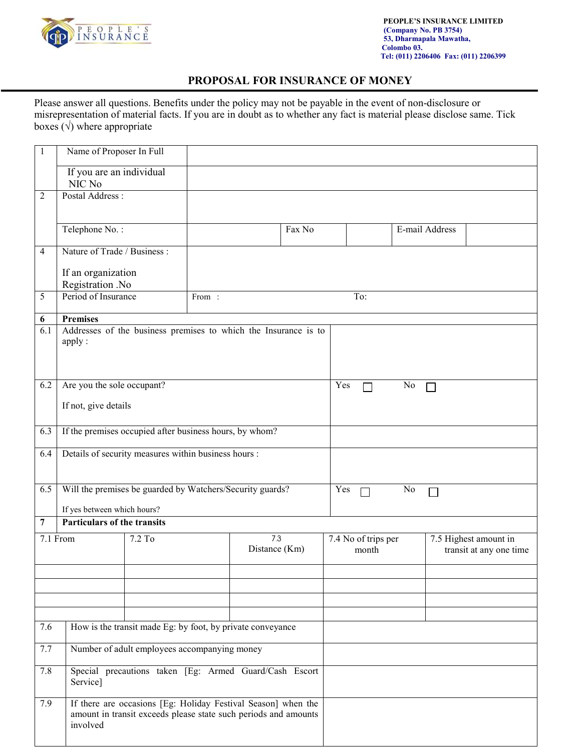

## **PROPOSAL FOR INSURANCE OF MONEY**

Please answer all questions. Benefits under the policy may not be payable in the event of non-disclosure or misrepresentation of material facts. If you are in doubt as to whether any fact is material please disclose same. Tick boxes  $(\sqrt{})$  where appropriate

| $\mathbf{1}$   | Name of Proposer In Full                                                                                                                     |                                                                 |               |     |        |     |                     |                |                         |                       |  |
|----------------|----------------------------------------------------------------------------------------------------------------------------------------------|-----------------------------------------------------------------|---------------|-----|--------|-----|---------------------|----------------|-------------------------|-----------------------|--|
|                | If you are an individual<br>NIC No                                                                                                           |                                                                 |               |     |        |     |                     |                |                         |                       |  |
| $\overline{c}$ | Postal Address:                                                                                                                              |                                                                 |               |     |        |     |                     |                |                         |                       |  |
|                |                                                                                                                                              |                                                                 |               |     |        |     |                     |                |                         |                       |  |
|                | Telephone No.:                                                                                                                               |                                                                 |               |     | Fax No |     |                     |                | E-mail Address          |                       |  |
| $\overline{4}$ | Nature of Trade / Business :                                                                                                                 |                                                                 |               |     |        |     |                     |                |                         |                       |  |
|                | If an organization                                                                                                                           |                                                                 |               |     |        |     |                     |                |                         |                       |  |
|                | Registration .No                                                                                                                             |                                                                 |               |     |        |     |                     |                |                         |                       |  |
| 5              | Period of Insurance<br>From:                                                                                                                 |                                                                 |               | To: |        |     |                     |                |                         |                       |  |
| 6              | <b>Premises</b>                                                                                                                              |                                                                 |               |     |        |     |                     |                |                         |                       |  |
| 6.1            | apply:                                                                                                                                       | Addresses of the business premises to which the Insurance is to |               |     |        |     |                     |                |                         |                       |  |
| 6.2            | Are you the sole occupant?                                                                                                                   |                                                                 |               |     |        | Yes |                     | N <sub>0</sub> |                         |                       |  |
|                | If not, give details                                                                                                                         |                                                                 |               |     |        |     |                     |                |                         |                       |  |
| 6.3            | If the premises occupied after business hours, by whom?                                                                                      |                                                                 |               |     |        |     |                     |                |                         |                       |  |
| 6.4            | Details of security measures within business hours :                                                                                         |                                                                 |               |     |        |     |                     |                |                         |                       |  |
| 6.5            | Will the premises be guarded by Watchers/Security guards?<br>If yes between which hours?                                                     |                                                                 |               |     |        |     | Yes<br>No           |                |                         |                       |  |
| 7              | Particulars of the transits                                                                                                                  |                                                                 |               |     |        |     |                     |                |                         |                       |  |
|                | 7.1 From                                                                                                                                     | 7.2 To                                                          |               | 7.3 |        |     | 7.4 No of trips per |                |                         | 7.5 Highest amount in |  |
|                |                                                                                                                                              |                                                                 | Distance (Km) |     | month  |     |                     |                | transit at any one time |                       |  |
|                |                                                                                                                                              |                                                                 |               |     |        |     |                     |                |                         |                       |  |
|                |                                                                                                                                              |                                                                 |               |     |        |     |                     |                |                         |                       |  |
|                |                                                                                                                                              |                                                                 |               |     |        |     |                     |                |                         |                       |  |
| 7.6            | How is the transit made Eg: by foot, by private conveyance                                                                                   |                                                                 |               |     |        |     |                     |                |                         |                       |  |
| 7.7            | Number of adult employees accompanying money                                                                                                 |                                                                 |               |     |        |     |                     |                |                         |                       |  |
| 7.8            | Special precautions taken [Eg: Armed Guard/Cash Escort<br>Service]                                                                           |                                                                 |               |     |        |     |                     |                |                         |                       |  |
| 7.9            | If there are occasions [Eg: Holiday Festival Season] when the<br>amount in transit exceeds please state such periods and amounts<br>involved |                                                                 |               |     |        |     |                     |                |                         |                       |  |